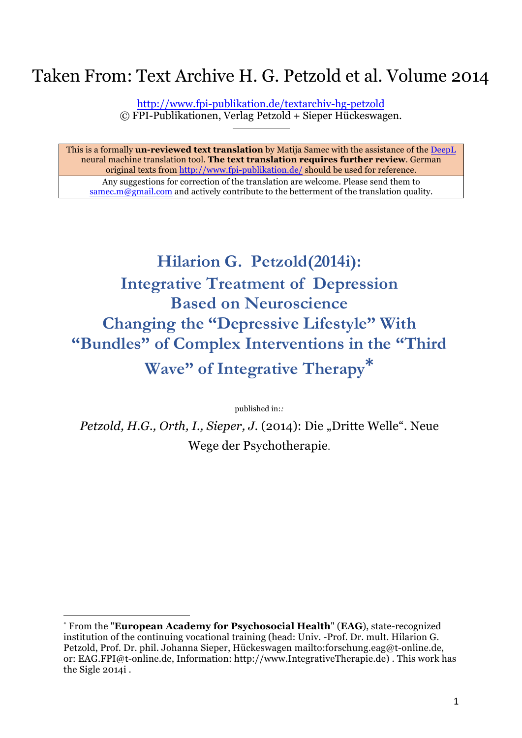## Taken From: Text Archive H. G. Petzold et al. Volume 2014

http://www.fpi-publikation.de/textarchiv-hg-petzold © FPI-Publikationen, Verlag Petzold + Sieper Hückeswagen.

This is a formally **un-reviewed text translation** by Matija Samec with the assistance of the DeepL neural machine translation tool. **The text translation requires further review**. German original texts from http://www.fpi-publikation.de/ should be used for reference. Any suggestions for correction of the translation are welcome. Please send them to samec.m@gmail.com and actively contribute to the betterment of the translation quality.

# **Hilarion G. Petzold(2014i): Integrative Treatment of Depression Based on Neuroscience Changing the "Depressive Lifestyle" With "Bundles" of Complex Interventions in the "Third Wave" of Integrative Therapy\***

published in:*:*

*Petzold, H.G., Orth, I., Sieper, J.* (2014): Die "Dritte Welle". Neue Wege der Psychotherapie.

<sup>\*</sup> From the "**European Academy for Psychosocial Health**" (**EAG**), state-recognized institution of the continuing vocational training (head: Univ. -Prof. Dr. mult. Hilarion G. Petzold, Prof. Dr. phil. Johanna Sieper, Hückeswagen mailto:forschung.eag@t-online.de, or: EAG.FPI@t-online.de, Information: http://www.IntegrativeTherapie.de) . This work has the Sigle 2014i .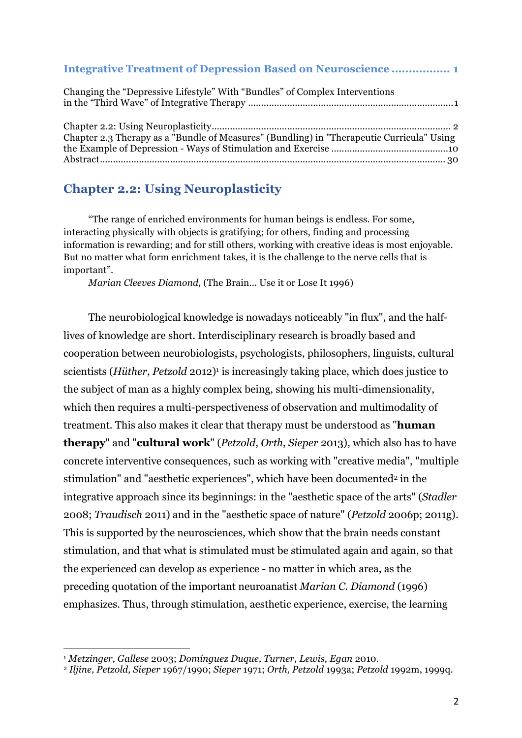| <b>Integrative Treatment of Depression Based on Neuroscience  1</b>                       |  |
|-------------------------------------------------------------------------------------------|--|
| Changing the "Depressive Lifestyle" With "Bundles" of Complex Interventions               |  |
| Chapter 2.3 Therapy as a "Bundle of Measures" (Bundling) in "Therapeutic Curricula" Using |  |

### **Chapter 2.2: Using Neuroplasticity**

"The range of enriched environments for human beings is endless. For some, interacting physically with objects is gratifying; for others, finding and processing information is rewarding; and for still others, working with creative ideas is most enjoyable. But no matter what form enrichment takes, it is the challenge to the nerve cells that is important".

*Marian Cleeves Diamond,* (The Brain... Use it or Lose It 1996)

The neurobiological knowledge is nowadays noticeably "in flux", and the halflives of knowledge are short. Interdisciplinary research is broadly based and cooperation between neurobiologists, psychologists, philosophers, linguists, cultural scientists (*Hüther*, *Petzold* 2012)<sup>1</sup> is increasingly taking place, which does justice to the subject of man as a highly complex being, showing his multi-dimensionality, which then requires a multi-perspectiveness of observation and multimodality of treatment. This also makes it clear that therapy must be understood as "**human therapy**" and "**cultural work**" (*Petzold*, *Orth*, *Sieper* 2013), which also has to have concrete interventive consequences, such as working with "creative media", "multiple stimulation" and "aesthetic experiences", which have been documented<sup>2</sup> in the integrative approach since its beginnings: in the "aesthetic space of the arts" (*Stadler* 2008; *Traudisch* 2011) and in the "aesthetic space of nature" (*Petzold* 2006p; 2011g). This is supported by the neurosciences, which show that the brain needs constant stimulation, and that what is stimulated must be stimulated again and again, so that the experienced can develop as experience - no matter in which area, as the preceding quotation of the important neuroanatist *Marian C. Diamond* (1996) emphasizes. Thus, through stimulation, aesthetic experience, exercise, the learning

<sup>1</sup> *Metzinger, Gallese* 2003; *Domínguez Duque, Turner, Lewis, Egan* 2010.

<sup>2</sup> *Iljine, Petzold, Sieper* 1967/1990; *Sieper* 1971; *Orth, Petzold* 1993a; *Petzold* 1992m, 1999q.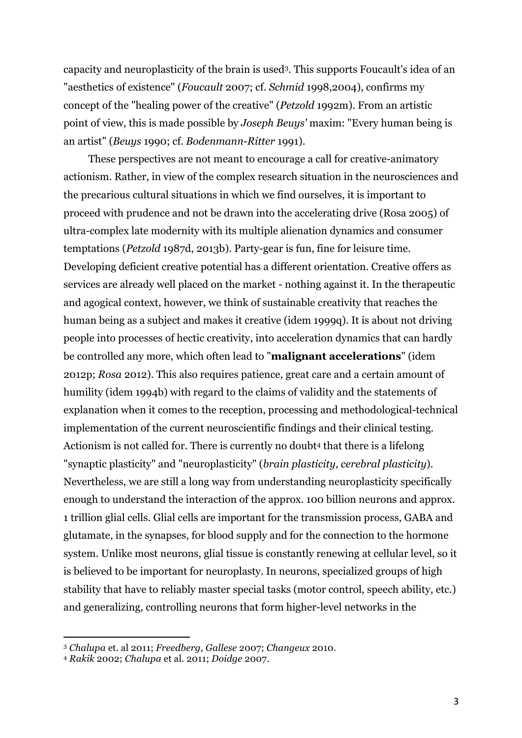capacity and neuroplasticity of the brain is used3. This supports Foucault's idea of an "aesthetics of existence" (*Foucault* 2007; cf. *Schmid* 1998,2004), confirms my concept of the "healing power of the creative" (*Petzold* 1992m). From an artistic point of view, this is made possible by *Joseph Beuys'* maxim: "Every human being is an artist" (*Beuys* 1990; cf. *Bodenmann*-*Ritter* 1991).

These perspectives are not meant to encourage a call for creative-animatory actionism. Rather, in view of the complex research situation in the neurosciences and the precarious cultural situations in which we find ourselves, it is important to proceed with prudence and not be drawn into the accelerating drive (Rosa 2005) of ultra-complex late modernity with its multiple alienation dynamics and consumer temptations (*Petzold* 1987d, 2013b). Party-gear is fun, fine for leisure time. Developing deficient creative potential has a different orientation. Creative offers as services are already well placed on the market - nothing against it. In the therapeutic and agogical context, however, we think of sustainable creativity that reaches the human being as a subject and makes it creative (idem 1999q). It is about not driving people into processes of hectic creativity, into acceleration dynamics that can hardly be controlled any more, which often lead to "**malignant accelerations**" (idem 2012p; *Rosa* 2012). This also requires patience, great care and a certain amount of humility (idem 1994b) with regard to the claims of validity and the statements of explanation when it comes to the reception, processing and methodological-technical implementation of the current neuroscientific findings and their clinical testing. Actionism is not called for. There is currently no doubt<sup>4</sup> that there is a lifelong "synaptic plasticity" and "neuroplasticity" (*brain plasticity, cerebral plasticity*). Nevertheless, we are still a long way from understanding neuroplasticity specifically enough to understand the interaction of the approx. 100 billion neurons and approx. 1 trillion glial cells. Glial cells are important for the transmission process, GABA and glutamate, in the synapses, for blood supply and for the connection to the hormone system. Unlike most neurons, glial tissue is constantly renewing at cellular level, so it is believed to be important for neuroplasty. In neurons, specialized groups of high stability that have to reliably master special tasks (motor control, speech ability, etc.) and generalizing, controlling neurons that form higher-level networks in the

<sup>3</sup> *Chalupa* et. al 2011; *Freedberg, Gallese* 2007; *Changeux* 2010.

<sup>4</sup> *Rakik* 2002; *Chalupa* et al. 2011; *Doidge* 2007.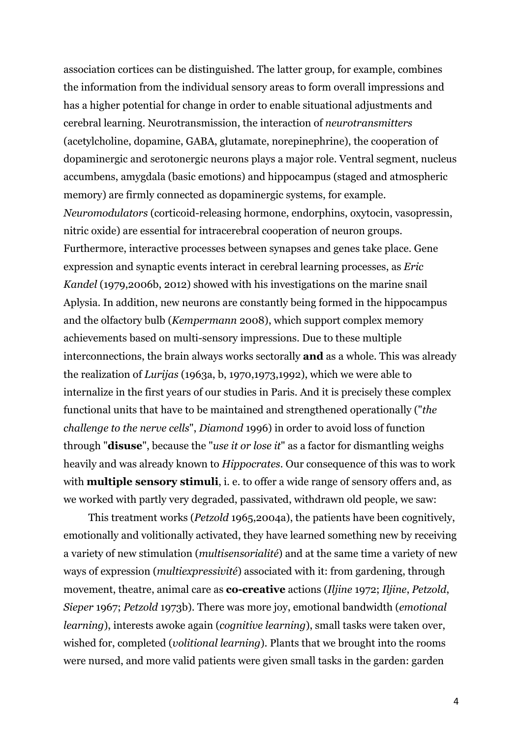association cortices can be distinguished. The latter group, for example, combines the information from the individual sensory areas to form overall impressions and has a higher potential for change in order to enable situational adjustments and cerebral learning. Neurotransmission, the interaction of *neurotransmitters* (acetylcholine, dopamine, GABA, glutamate, norepinephrine), the cooperation of dopaminergic and serotonergic neurons plays a major role. Ventral segment, nucleus accumbens, amygdala (basic emotions) and hippocampus (staged and atmospheric memory) are firmly connected as dopaminergic systems, for example. *Neuromodulators* (corticoid-releasing hormone, endorphins, oxytocin, vasopressin, nitric oxide) are essential for intracerebral cooperation of neuron groups. Furthermore, interactive processes between synapses and genes take place. Gene expression and synaptic events interact in cerebral learning processes, as *Eric Kandel* (1979,2006b, 2012) showed with his investigations on the marine snail Aplysia. In addition, new neurons are constantly being formed in the hippocampus and the olfactory bulb (*Kempermann* 2008), which support complex memory achievements based on multi-sensory impressions. Due to these multiple interconnections, the brain always works sectorally **and** as a whole. This was already the realization of *Lurijas* (1963a, b, 1970,1973,1992), which we were able to internalize in the first years of our studies in Paris. And it is precisely these complex functional units that have to be maintained and strengthened operationally ("*the challenge to the nerve cells*", *Diamond* 1996) in order to avoid loss of function through "**disuse**", because the "*use it or lose it*" as a factor for dismantling weighs heavily and was already known to *Hippocrates*. Our consequence of this was to work with **multiple sensory stimuli**, i. e. to offer a wide range of sensory offers and, as we worked with partly very degraded, passivated, withdrawn old people, we saw:

This treatment works (*Petzold* 1965,2004a), the patients have been cognitively, emotionally and volitionally activated, they have learned something new by receiving a variety of new stimulation (*multisensorialité*) and at the same time a variety of new ways of expression (*multiexpressivité*) associated with it: from gardening, through movement, theatre, animal care as **co-creative** actions (*Iljine* 1972; *Iljine*, *Petzold*, *Sieper* 1967; *Petzold* 1973b). There was more joy, emotional bandwidth (*emotional learning*), interests awoke again (*cognitive learning*), small tasks were taken over, wished for, completed (*volitional learning*). Plants that we brought into the rooms were nursed, and more valid patients were given small tasks in the garden: garden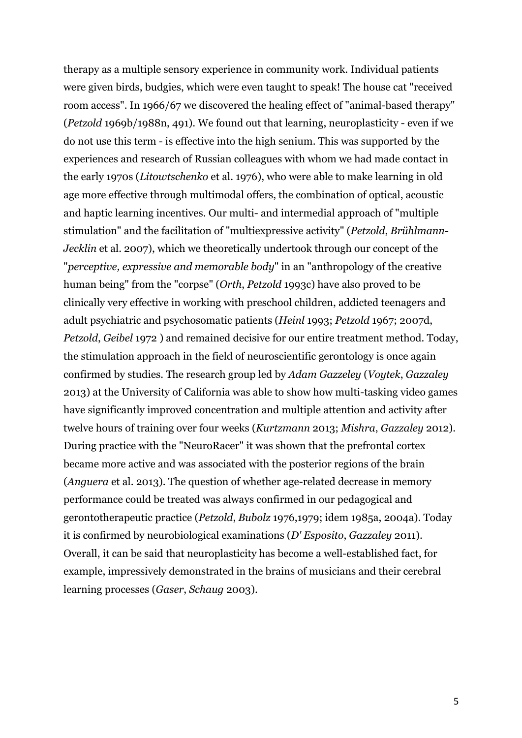therapy as a multiple sensory experience in community work. Individual patients were given birds, budgies, which were even taught to speak! The house cat "received room access". In 1966/67 we discovered the healing effect of "animal-based therapy" (*Petzold* 1969b/1988n, 491). We found out that learning, neuroplasticity - even if we do not use this term - is effective into the high senium. This was supported by the experiences and research of Russian colleagues with whom we had made contact in the early 1970s (*Litowtschenko* et al. 1976), who were able to make learning in old age more effective through multimodal offers, the combination of optical, acoustic and haptic learning incentives. Our multi- and intermedial approach of "multiple stimulation" and the facilitation of "multiexpressive activity" (*Petzold*, *Brühlmann*-*Jecklin* et al. 2007), which we theoretically undertook through our concept of the "*perceptive, expressive and memorable body*" in an "anthropology of the creative human being" from the "corpse" (*Orth*, *Petzold* 1993c) have also proved to be clinically very effective in working with preschool children, addicted teenagers and adult psychiatric and psychosomatic patients (*Heinl* 1993; *Petzold* 1967; 2007d, *Petzold*, *Geibel* 1972 ) and remained decisive for our entire treatment method. Today, the stimulation approach in the field of neuroscientific gerontology is once again confirmed by studies. The research group led by *Adam Gazzeley* (*Voytek*, *Gazzaley* 2013) at the University of California was able to show how multi-tasking video games have significantly improved concentration and multiple attention and activity after twelve hours of training over four weeks (*Kurtzmann* 2013; *Mishra*, *Gazzaley* 2012). During practice with the "NeuroRacer" it was shown that the prefrontal cortex became more active and was associated with the posterior regions of the brain (*Anguera* et al. 2013). The question of whether age-related decrease in memory performance could be treated was always confirmed in our pedagogical and gerontotherapeutic practice (*Petzold*, *Bubolz* 1976,1979; idem 1985a, 2004a). Today it is confirmed by neurobiological examinations (*D' Esposito*, *Gazzaley* 2011). Overall, it can be said that neuroplasticity has become a well-established fact, for example, impressively demonstrated in the brains of musicians and their cerebral learning processes (*Gaser*, *Schaug* 2003).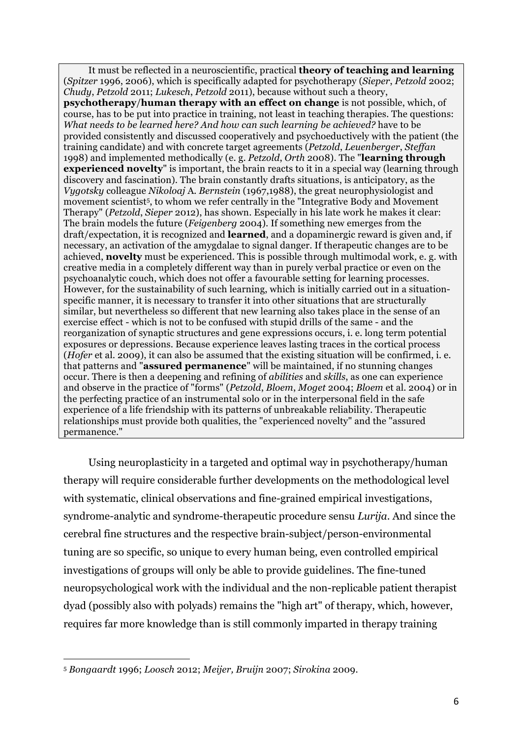It must be reflected in a neuroscientific, practical **theory of teaching and learning** (*Spitzer* 1996, 2006), which is specifically adapted for psychotherapy (*Sieper*, *Petzold* 2002; *Chudy*, *Petzold* 2011; *Lukesch*, *Petzold* 2011), because without such a theory, **psychotherapy**/**human therapy with an effect on change** is not possible, which, of course, has to be put into practice in training, not least in teaching therapies. The questions: *What needs to be learned here? And how can such learning be achieved?* have to be provided consistently and discussed cooperatively and psychoeductively with the patient (the training candidate) and with concrete target agreements (*Petzold*, *Leuenberger*, *Steffan* 1998) and implemented methodically (e. g. *Petzold*, *Orth* 2008). The "**learning through experienced novelty**" is important, the brain reacts to it in a special way (learning through discovery and fascination). The brain constantly drafts situations, is anticipatory, as the *Vygotsky* colleague *Nikoloaj* A*. Bernstein* (1967,1988), the great neurophysiologist and movement scientist<sup>5</sup>, to whom we refer centrally in the "Integrative Body and Movement Therapy" (*Petzold*, *Sieper* 2012), has shown. Especially in his late work he makes it clear: The brain models the future (*Feigenberg* 2004). If something new emerges from the draft/expectation, it is recognized and **learned**, and a dopaminergic reward is given and, if necessary, an activation of the amygdalae to signal danger. If therapeutic changes are to be achieved, **novelty** must be experienced. This is possible through multimodal work, e. g. with creative media in a completely different way than in purely verbal practice or even on the psychoanalytic couch, which does not offer a favourable setting for learning processes. However, for the sustainability of such learning, which is initially carried out in a situationspecific manner, it is necessary to transfer it into other situations that are structurally similar, but nevertheless so different that new learning also takes place in the sense of an exercise effect - which is not to be confused with stupid drills of the same - and the reorganization of synaptic structures and gene expressions occurs, i. e. long term potential exposures or depressions. Because experience leaves lasting traces in the cortical process (*Hofer* et al. 2009), it can also be assumed that the existing situation will be confirmed, i. e. that patterns and "**assured permanence**" will be maintained, if no stunning changes occur. There is then a deepening and refining of *abilities* and *skills*, as one can experience and observe in the practice of "forms" (*Petzold*, *Bloem*, *Moget* 2004; *Bloem* et al. 2004) or in the perfecting practice of an instrumental solo or in the interpersonal field in the safe experience of a life friendship with its patterns of unbreakable reliability. Therapeutic relationships must provide both qualities, the "experienced novelty" and the "assured permanence."

Using neuroplasticity in a targeted and optimal way in psychotherapy/human therapy will require considerable further developments on the methodological level with systematic, clinical observations and fine-grained empirical investigations, syndrome-analytic and syndrome-therapeutic procedure sensu *Lurija*. And since the cerebral fine structures and the respective brain-subject/person-environmental tuning are so specific, so unique to every human being, even controlled empirical investigations of groups will only be able to provide guidelines. The fine-tuned neuropsychological work with the individual and the non-replicable patient therapist dyad (possibly also with polyads) remains the "high art" of therapy, which, however, requires far more knowledge than is still commonly imparted in therapy training

<sup>5</sup> *Bongaardt* 1996; *Loosch* 2012; *Meijer, Bruijn* 2007; *Sirokina* 2009.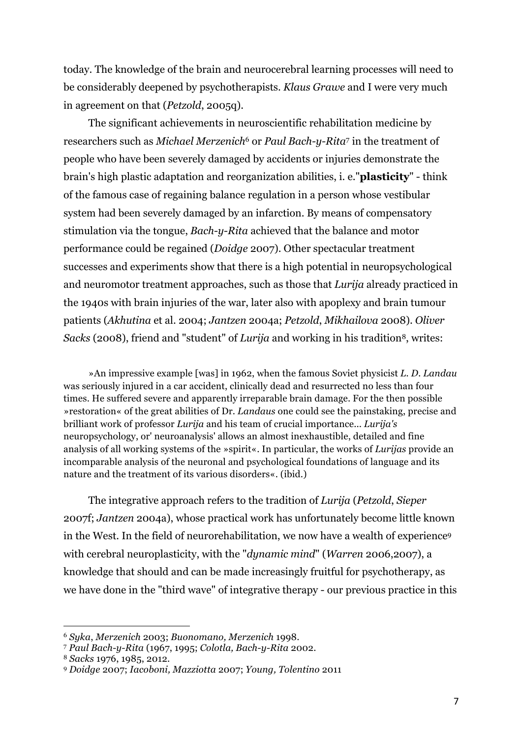today. The knowledge of the brain and neurocerebral learning processes will need to be considerably deepened by psychotherapists. *Klaus Grawe* and I were very much in agreement on that (*Petzold*, 2005q).

The significant achievements in neuroscientific rehabilitation medicine by researchers such as *Michael Merzenich*<sup>6</sup> or *Paul Bach-y-Rita*<sup>7</sup> in the treatment of people who have been severely damaged by accidents or injuries demonstrate the brain's high plastic adaptation and reorganization abilities, i. e."**plasticity**" - think of the famous case of regaining balance regulation in a person whose vestibular system had been severely damaged by an infarction. By means of compensatory stimulation via the tongue, *Bach*-*y*-*Rita* achieved that the balance and motor performance could be regained (*Doidge* 2007). Other spectacular treatment successes and experiments show that there is a high potential in neuropsychological and neuromotor treatment approaches, such as those that *Lurija* already practiced in the 1940s with brain injuries of the war, later also with apoplexy and brain tumour patients (*Akhutina* et al. 2004; *Jantzen* 2004a; *Petzold*, *Mikhailova* 2008). *Oliver Sacks* (2008), friend and "student" of *Lurija* and working in his tradition<sup>8</sup>, writes:

»An impressive example [was] in 1962, when the famous Soviet physicist *L. D. Landau* was seriously injured in a car accident, clinically dead and resurrected no less than four times. He suffered severe and apparently irreparable brain damage. For the then possible »restoration« of the great abilities of Dr. *Landaus* one could see the painstaking, precise and brilliant work of professor *Lurija* and his team of crucial importance... *Lurija's* neuropsychology, or' neuroanalysis' allows an almost inexhaustible, detailed and fine analysis of all working systems of the »spirit«. In particular, the works of *Lurijas* provide an incomparable analysis of the neuronal and psychological foundations of language and its nature and the treatment of its various disorders«. (ibid.)

The integrative approach refers to the tradition of *Lurija* (*Petzold*, *Sieper* 2007f; *Jantzen* 2004a), whose practical work has unfortunately become little known in the West. In the field of neurorehabilitation, we now have a wealth of experience9 with cerebral neuroplasticity, with the "*dynamic mind*" (*Warren* 2006,2007), a knowledge that should and can be made increasingly fruitful for psychotherapy, as we have done in the "third wave" of integrative therapy - our previous practice in this

<sup>6</sup> *Syka*, *Merzenich* 2003; *Buonomano, Merzenich* 1998.

<sup>7</sup> *Paul Bach-y-Rita* (1967, 1995; *Colotla, Bach-y-Rita* 2002.

<sup>8</sup> *Sacks* 1976, 1985, 2012.

<sup>9</sup> *Doidge* 2007; *Iacoboni, Mazziotta* 2007; *Young, Tolentino* 2011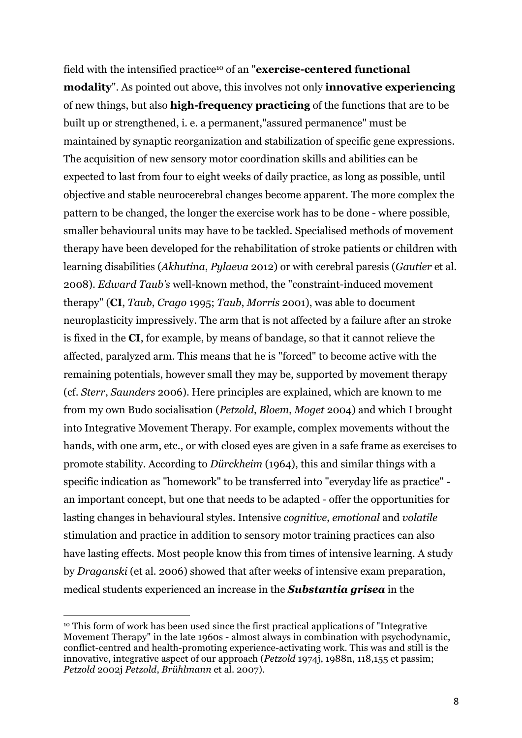field with the intensified practice10 of an "**exercise-centered functional modality**". As pointed out above, this involves not only **innovative experiencing** of new things, but also **high-frequency practicing** of the functions that are to be built up or strengthened, i. e. a permanent,"assured permanence" must be maintained by synaptic reorganization and stabilization of specific gene expressions. The acquisition of new sensory motor coordination skills and abilities can be expected to last from four to eight weeks of daily practice, as long as possible, until objective and stable neurocerebral changes become apparent. The more complex the pattern to be changed, the longer the exercise work has to be done - where possible, smaller behavioural units may have to be tackled. Specialised methods of movement therapy have been developed for the rehabilitation of stroke patients or children with learning disabilities (*Akhutina*, *Pylaeva* 2012) or with cerebral paresis (*Gautier* et al. 2008). *Edward Taub's* well-known method, the "constraint-induced movement therapy" (**CI**, *Taub*, *Crago* 1995; *Taub*, *Morris* 2001), was able to document neuroplasticity impressively. The arm that is not affected by a failure after an stroke is fixed in the **CI**, for example, by means of bandage, so that it cannot relieve the affected, paralyzed arm. This means that he is "forced" to become active with the remaining potentials, however small they may be, supported by movement therapy (cf. *Sterr*, *Saunders* 2006). Here principles are explained, which are known to me from my own Budo socialisation (*Petzold*, *Bloem*, *Moget* 2004) and which I brought into Integrative Movement Therapy. For example, complex movements without the hands, with one arm, etc., or with closed eyes are given in a safe frame as exercises to promote stability. According to *Dürckheim* (1964), this and similar things with a specific indication as "homework" to be transferred into "everyday life as practice" an important concept, but one that needs to be adapted - offer the opportunities for lasting changes in behavioural styles. Intensive *cognitive*, *emotional* and *volatile* stimulation and practice in addition to sensory motor training practices can also have lasting effects. Most people know this from times of intensive learning. A study by *Draganski* (et al. 2006) showed that after weeks of intensive exam preparation, medical students experienced an increase in the *Substantia grisea* in the

<sup>10</sup> This form of work has been used since the first practical applications of "Integrative Movement Therapy" in the late 1960s - almost always in combination with psychodynamic, conflict-centred and health-promoting experience-activating work. This was and still is the innovative, integrative aspect of our approach (*Petzold* 1974j, 1988n, 118,155 et passim; *Petzold* 2002j *Petzold*, *Brühlmann* et al. 2007).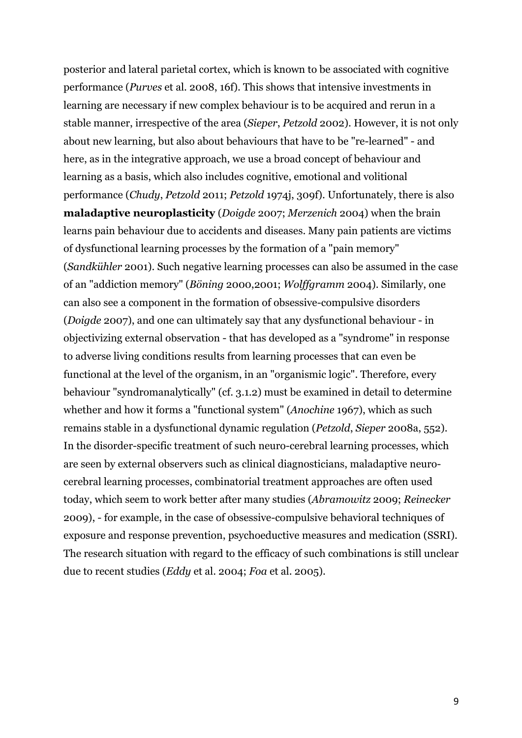posterior and lateral parietal cortex, which is known to be associated with cognitive performance (*Purves* et al. 2008, 16f). This shows that intensive investments in learning are necessary if new complex behaviour is to be acquired and rerun in a stable manner, irrespective of the area (*Sieper*, *Petzold* 2002). However, it is not only about new learning, but also about behaviours that have to be "re-learned" - and here, as in the integrative approach, we use a broad concept of behaviour and learning as a basis, which also includes cognitive, emotional and volitional performance (*Chudy*, *Petzold* 2011; *Petzold* 1974j, 309f). Unfortunately, there is also **maladaptive neuroplasticity** (*Doigde* 2007; *Merzenich* 2004) when the brain learns pain behaviour due to accidents and diseases. Many pain patients are victims of dysfunctional learning processes by the formation of a "pain memory" (*Sandkühler* 2001). Such negative learning processes can also be assumed in the case of an "addiction memory" (*Böning* 2000,2001; *Wolffgramm* 2004). Similarly, one can also see a component in the formation of obsessive-compulsive disorders (*Doigde* 2007), and one can ultimately say that any dysfunctional behaviour - in objectivizing external observation - that has developed as a "syndrome" in response to adverse living conditions results from learning processes that can even be functional at the level of the organism, in an "organismic logic". Therefore, every behaviour "syndromanalytically" (cf. 3.1.2) must be examined in detail to determine whether and how it forms a "functional system" (*Anochine* 1967), which as such remains stable in a dysfunctional dynamic regulation (*Petzold*, *Sieper* 2008a, 552). In the disorder-specific treatment of such neuro-cerebral learning processes, which are seen by external observers such as clinical diagnosticians, maladaptive neurocerebral learning processes, combinatorial treatment approaches are often used today, which seem to work better after many studies (*Abramowitz* 2009; *Reinecker* 2009), - for example, in the case of obsessive-compulsive behavioral techniques of exposure and response prevention, psychoeductive measures and medication (SSRI). The research situation with regard to the efficacy of such combinations is still unclear due to recent studies (*Eddy* et al. 2004; *Foa* et al. 2005).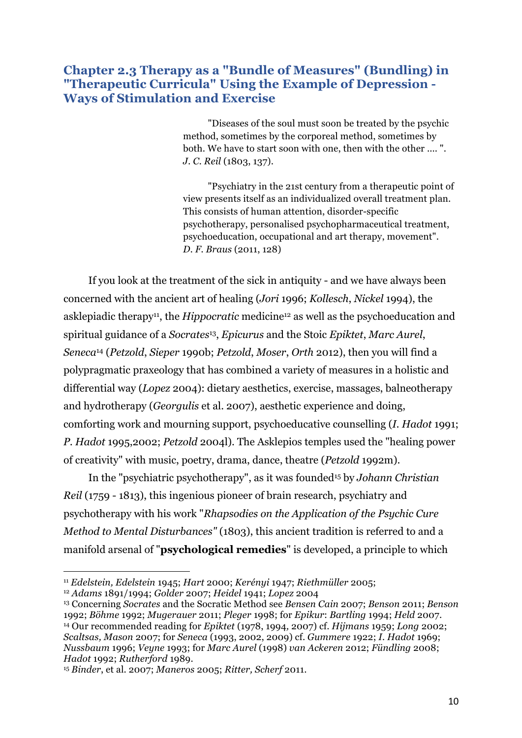### **Chapter 2.3 Therapy as a "Bundle of Measures" (Bundling) in "Therapeutic Curricula" Using the Example of Depression - Ways of Stimulation and Exercise**

"Diseases of the soul must soon be treated by the psychic method, sometimes by the corporeal method, sometimes by both. We have to start soon with one, then with the other .... ". *J. C. Reil* (1803, 137).

"Psychiatry in the 21st century from a therapeutic point of view presents itself as an individualized overall treatment plan. This consists of human attention, disorder-specific psychotherapy, personalised psychopharmaceutical treatment, psychoeducation, occupational and art therapy, movement". *D. F. Braus* (2011, 128)

If you look at the treatment of the sick in antiquity - and we have always been concerned with the ancient art of healing (*Jori* 1996; *Kollesch*, *Nickel* 1994), the asklepiadic therapy<sup>11</sup>, the *Hippocratic* medicine<sup>12</sup> as well as the psychoeducation and spiritual guidance of a *Socrates*13, *Epicurus* and the Stoic *Epiktet*, *Marc Aurel*, *Seneca*<sup>14</sup> (*Petzold*, *Sieper* 1990b; *Petzold*, *Moser*, *Orth* 2012), then you will find a polypragmatic praxeology that has combined a variety of measures in a holistic and differential way (*Lopez* 2004): dietary aesthetics, exercise, massages, balneotherapy and hydrotherapy (*Georgulis* et al. 2007), aesthetic experience and doing, comforting work and mourning support, psychoeducative counselling (*I. Hadot* 1991; *P. Hadot* 1995,2002; *Petzold* 2004l). The Asklepios temples used the "healing power of creativity" with music, poetry, drama, dance, theatre (*Petzold* 1992m).

In the "psychiatric psychotherapy", as it was founded15 by *Johann Christian Reil* (1759 - 1813), this ingenious pioneer of brain research, psychiatry and psychotherapy with his work "*Rhapsodies on the Application of the Psychic Cure Method to Mental Disturbances"* (1803), this ancient tradition is referred to and a manifold arsenal of "**psychological remedies**" is developed, a principle to which

<sup>11</sup> *Edelstein, Edelstein* 1945; *Hart* 2000; *Kerényi* 1947; *Riethmüller* 2005;

<sup>12</sup> *Adams* 1891/1994; *Golder* 2007; *Heidel* 1941; *Lopez* 2004

<sup>13</sup> Concerning *Socrates* and the Socratic Method see *Bensen Cain* 2007; *Benson* 2011; *Benson* 1992; *Böhme* 1992; *Mugerauer* 2011; *Pleger* 1998; for *Epikur*: *Bartling* 1994; *Held* 2007. <sup>14</sup> Our recommended reading for *Epiktet* (1978, 1994*,* 2007) cf. *Hijmans* 1959; *Long* 2002; *Scaltsas, Mason* 2007; for *Seneca* (1993, 2002, 2009) cf. *Gummere* 1922; *I. Hadot* 1969; *Nussbaum* 1996; *Veyne* 1993; for *Marc Aurel* (1998) *van Ackeren* 2012; *Fündling* 2008; *Hadot* 1992; *Rutherford* 1989.

<sup>15</sup> *Binder*, et al. 2007; *Maneros* 2005; *Ritter, Scherf* 2011.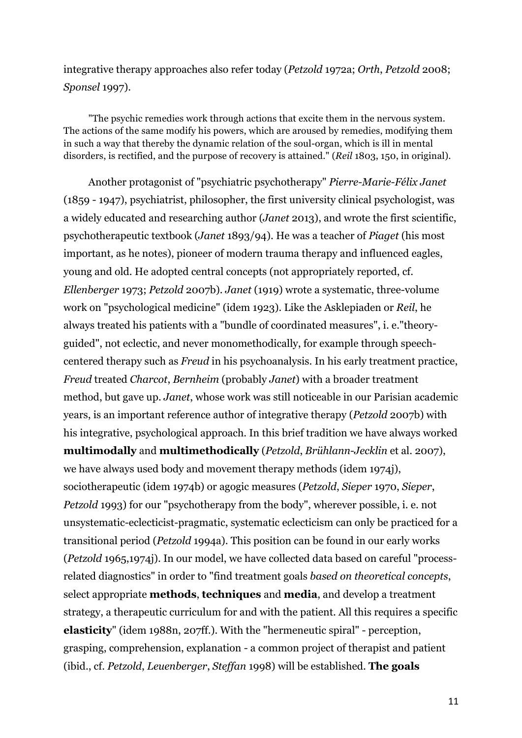integrative therapy approaches also refer today (*Petzold* 1972a; *Orth*, *Petzold* 2008; *Sponsel* 1997).

"The psychic remedies work through actions that excite them in the nervous system. The actions of the same modify his powers, which are aroused by remedies, modifying them in such a way that thereby the dynamic relation of the soul-organ, which is ill in mental disorders, is rectified, and the purpose of recovery is attained." (*Reil* 1803, 150, in original).

Another protagonist of "psychiatric psychotherapy" *Pierre-Marie-Félix Janet* (1859 - 1947), psychiatrist, philosopher, the first university clinical psychologist, was a widely educated and researching author (*Janet* 2013), and wrote the first scientific, psychotherapeutic textbook (*Janet* 1893/94). He was a teacher of *Piaget* (his most important, as he notes), pioneer of modern trauma therapy and influenced eagles, young and old. He adopted central concepts (not appropriately reported, cf. *Ellenberger* 1973; *Petzold* 2007b). *Janet* (1919) wrote a systematic, three-volume work on "psychological medicine" (idem 1923). Like the Asklepiaden or *Reil*, he always treated his patients with a "bundle of coordinated measures", i. e."theoryguided", not eclectic, and never monomethodically, for example through speechcentered therapy such as *Freud* in his psychoanalysis. In his early treatment practice, *Freud* treated *Charcot*, *Bernheim* (probably *Janet*) with a broader treatment method, but gave up. *Janet*, whose work was still noticeable in our Parisian academic years, is an important reference author of integrative therapy (*Petzold* 2007b) with his integrative, psychological approach. In this brief tradition we have always worked **multimodally** and **multimethodically** (*Petzold*, *Brühlann*-*Jecklin* et al. 2007), we have always used body and movement therapy methods (idem 1974j), sociotherapeutic (idem 1974b) or agogic measures (*Petzold*, *Sieper* 1970, *Sieper*, *Petzold* 1993) for our "psychotherapy from the body", wherever possible, i. e. not unsystematic-eclecticist-pragmatic, systematic eclecticism can only be practiced for a transitional period (*Petzold* 1994a). This position can be found in our early works (*Petzold* 1965,1974j). In our model, we have collected data based on careful "processrelated diagnostics" in order to "find treatment goals *based on theoretical concepts*, select appropriate **methods**, **techniques** and **media**, and develop a treatment strategy, a therapeutic curriculum for and with the patient. All this requires a specific **elasticity**" (idem 1988n, 207ff.). With the "hermeneutic spiral" - perception, grasping, comprehension, explanation - a common project of therapist and patient (ibid., cf. *Petzold*, *Leuenberger*, *Steffan* 1998) will be established. **The goals**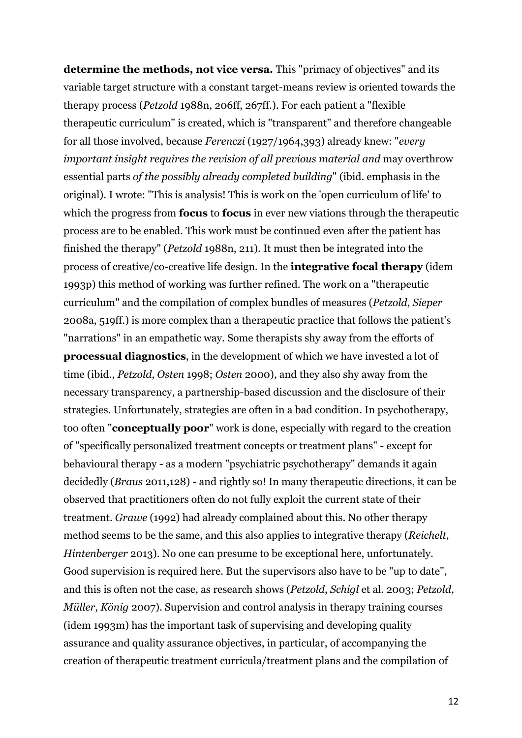**determine the methods, not vice versa.** This "primacy of objectives" and its variable target structure with a constant target-means review is oriented towards the therapy process (*Petzold* 1988n, 206ff, 267ff.). For each patient a "flexible therapeutic curriculum" is created, which is "transparent" and therefore changeable for all those involved, because *Ferenczi* (1927/1964,393) already knew: "*every important insight requires the revision of all previous material and* may overthrow essential parts *of the possibly already completed building*" (ibid. emphasis in the original). I wrote: "This is analysis! This is work on the 'open curriculum of life' to which the progress from **focus** to **focus** in ever new viations through the therapeutic process are to be enabled. This work must be continued even after the patient has finished the therapy" (*Petzold* 1988n, 211). It must then be integrated into the process of creative/co-creative life design. In the **integrative focal therapy** (idem 1993p) this method of working was further refined. The work on a "therapeutic curriculum" and the compilation of complex bundles of measures (*Petzold*, *Sieper* 2008a, 519ff.) is more complex than a therapeutic practice that follows the patient's "narrations" in an empathetic way. Some therapists shy away from the efforts of **processual diagnostics**, in the development of which we have invested a lot of time (ibid., *Petzold*, *Osten* 1998; *Osten* 2000), and they also shy away from the necessary transparency, a partnership-based discussion and the disclosure of their strategies. Unfortunately, strategies are often in a bad condition. In psychotherapy, too often "**conceptually poor**" work is done, especially with regard to the creation of "specifically personalized treatment concepts or treatment plans" - except for behavioural therapy - as a modern "psychiatric psychotherapy" demands it again decidedly (*Braus* 2011,128) - and rightly so! In many therapeutic directions, it can be observed that practitioners often do not fully exploit the current state of their treatment. *Grawe* (1992) had already complained about this. No other therapy method seems to be the same, and this also applies to integrative therapy (*Reichelt*, *Hintenberger* 2013). No one can presume to be exceptional here, unfortunately. Good supervision is required here. But the supervisors also have to be "up to date", and this is often not the case, as research shows (*Petzold*, *Schigl* et al. 2003; *Petzold*, *Müller*, *König* 2007). Supervision and control analysis in therapy training courses (idem 1993m) has the important task of supervising and developing quality assurance and quality assurance objectives, in particular, of accompanying the creation of therapeutic treatment curricula/treatment plans and the compilation of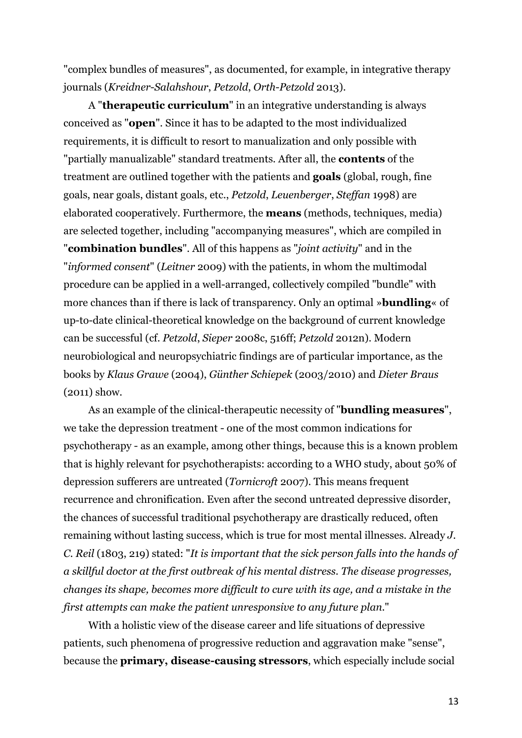"complex bundles of measures", as documented, for example, in integrative therapy journals (*Kreidner*-*Salahshour*, *Petzold*, *Orth*-*Petzold* 2013).

A "**therapeutic curriculum**" in an integrative understanding is always conceived as "**open**". Since it has to be adapted to the most individualized requirements, it is difficult to resort to manualization and only possible with "partially manualizable" standard treatments. After all, the **contents** of the treatment are outlined together with the patients and **goals** (global, rough, fine goals, near goals, distant goals, etc., *Petzold*, *Leuenberger*, *Steffan* 1998) are elaborated cooperatively. Furthermore, the **means** (methods, techniques, media) are selected together, including "accompanying measures", which are compiled in "**combination bundles**". All of this happens as "*joint activity*" and in the "*informed consent*" (*Leitner* 2009) with the patients, in whom the multimodal procedure can be applied in a well-arranged, collectively compiled "bundle" with more chances than if there is lack of transparency. Only an optimal »**bundling**« of up-to-date clinical-theoretical knowledge on the background of current knowledge can be successful (cf. *Petzold*, *Sieper* 2008c, 516ff; *Petzold* 2012n). Modern neurobiological and neuropsychiatric findings are of particular importance, as the books by *Klaus Grawe* (2004), *Günther Schiepek* (2003/2010) and *Dieter Braus* (2011) show.

As an example of the clinical-therapeutic necessity of "**bundling measures**", we take the depression treatment - one of the most common indications for psychotherapy - as an example, among other things, because this is a known problem that is highly relevant for psychotherapists: according to a WHO study, about 50% of depression sufferers are untreated (*Tornicroft* 2007). This means frequent recurrence and chronification. Even after the second untreated depressive disorder, the chances of successful traditional psychotherapy are drastically reduced, often remaining without lasting success, which is true for most mental illnesses. Already *J. C. Reil* (1803, 219) stated: "*It is important that the sick person falls into the hands of a skillful doctor at the first outbreak of his mental distress. The disease progresses, changes its shape, becomes more difficult to cure with its age, and a mistake in the first attempts can make the patient unresponsive to any future plan.*"

With a holistic view of the disease career and life situations of depressive patients, such phenomena of progressive reduction and aggravation make "sense", because the **primary, disease-causing stressors**, which especially include social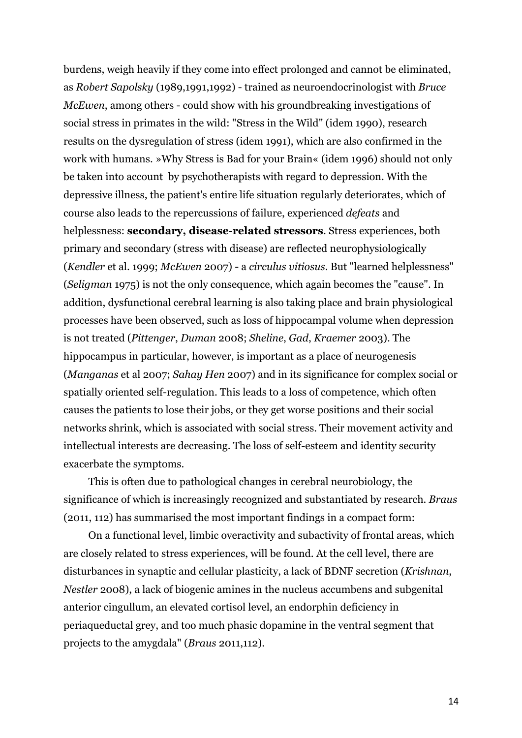burdens, weigh heavily if they come into effect prolonged and cannot be eliminated, as *Robert Sapolsky* (1989,1991,1992) - trained as neuroendocrinologist with *Bruce McEwen*, among others - could show with his groundbreaking investigations of social stress in primates in the wild: "Stress in the Wild" (idem 1990), research results on the dysregulation of stress (idem 1991), which are also confirmed in the work with humans. »Why Stress is Bad for your Brain« (idem 1996) should not only be taken into account by psychotherapists with regard to depression. With the depressive illness, the patient's entire life situation regularly deteriorates, which of course also leads to the repercussions of failure, experienced *defeats* and helplessness: **secondary, disease-related stressors**. Stress experiences, both primary and secondary (stress with disease) are reflected neurophysiologically (*Kendler* et al. 1999; *McEwen* 2007) - a *circulus vitiosus*. But "learned helplessness" (*Seligman* 1975) is not the only consequence, which again becomes the "cause". In addition, dysfunctional cerebral learning is also taking place and brain physiological processes have been observed, such as loss of hippocampal volume when depression is not treated (*Pittenger*, *Duman* 2008; *Sheline*, *Gad*, *Kraemer* 2003). The hippocampus in particular, however, is important as a place of neurogenesis (*Manganas* et al 2007; *Sahay Hen* 2007) and in its significance for complex social or spatially oriented self-regulation. This leads to a loss of competence, which often causes the patients to lose their jobs, or they get worse positions and their social networks shrink, which is associated with social stress. Their movement activity and intellectual interests are decreasing. The loss of self-esteem and identity security exacerbate the symptoms.

This is often due to pathological changes in cerebral neurobiology, the significance of which is increasingly recognized and substantiated by research. *Braus* (2011, 112) has summarised the most important findings in a compact form:

On a functional level, limbic overactivity and subactivity of frontal areas, which are closely related to stress experiences, will be found. At the cell level, there are disturbances in synaptic and cellular plasticity, a lack of BDNF secretion (*Krishnan*, *Nestler* 2008), a lack of biogenic amines in the nucleus accumbens and subgenital anterior cingullum, an elevated cortisol level, an endorphin deficiency in periaqueductal grey, and too much phasic dopamine in the ventral segment that projects to the amygdala" (*Braus* 2011,112).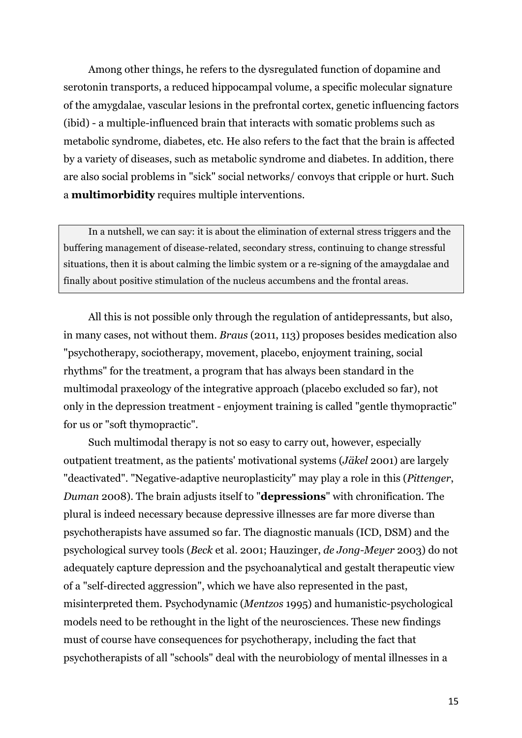Among other things, he refers to the dysregulated function of dopamine and serotonin transports, a reduced hippocampal volume, a specific molecular signature of the amygdalae, vascular lesions in the prefrontal cortex, genetic influencing factors (ibid) - a multiple-influenced brain that interacts with somatic problems such as metabolic syndrome, diabetes, etc. He also refers to the fact that the brain is affected by a variety of diseases, such as metabolic syndrome and diabetes. In addition, there are also social problems in "sick" social networks/ convoys that cripple or hurt. Such a **multimorbidity** requires multiple interventions.

In a nutshell, we can say: it is about the elimination of external stress triggers and the buffering management of disease-related, secondary stress, continuing to change stressful situations, then it is about calming the limbic system or a re-signing of the amaygdalae and finally about positive stimulation of the nucleus accumbens and the frontal areas.

All this is not possible only through the regulation of antidepressants, but also, in many cases, not without them. *Braus* (2011, 113) proposes besides medication also "psychotherapy, sociotherapy, movement, placebo, enjoyment training, social rhythms" for the treatment, a program that has always been standard in the multimodal praxeology of the integrative approach (placebo excluded so far), not only in the depression treatment - enjoyment training is called "gentle thymopractic" for us or "soft thymopractic".

Such multimodal therapy is not so easy to carry out, however, especially outpatient treatment, as the patients' motivational systems (*Jäkel* 2001) are largely "deactivated". "Negative-adaptive neuroplasticity" may play a role in this (*Pittenger*, *Duman* 2008). The brain adjusts itself to "**depressions**" with chronification. The plural is indeed necessary because depressive illnesses are far more diverse than psychotherapists have assumed so far. The diagnostic manuals (ICD, DSM) and the psychological survey tools (*Beck* et al. 2001; Hauzinger, *de Jong-Meyer* 2003) do not adequately capture depression and the psychoanalytical and gestalt therapeutic view of a "self-directed aggression", which we have also represented in the past, misinterpreted them. Psychodynamic (*Mentzos* 1995) and humanistic-psychological models need to be rethought in the light of the neurosciences. These new findings must of course have consequences for psychotherapy, including the fact that psychotherapists of all "schools" deal with the neurobiology of mental illnesses in a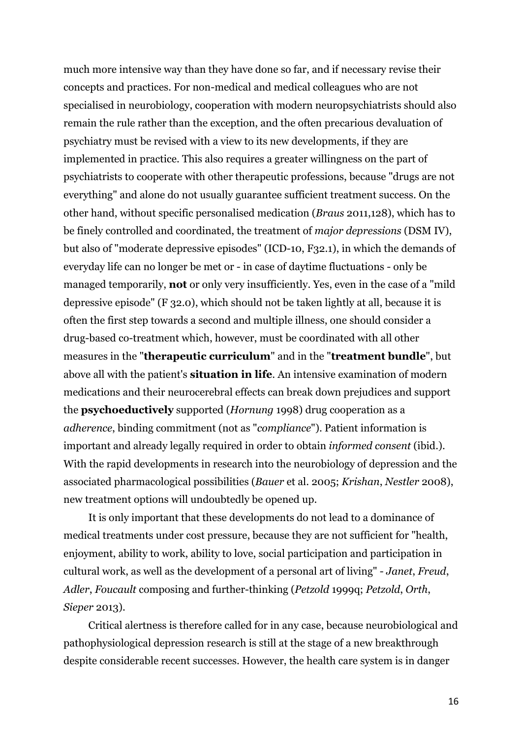much more intensive way than they have done so far, and if necessary revise their concepts and practices. For non-medical and medical colleagues who are not specialised in neurobiology, cooperation with modern neuropsychiatrists should also remain the rule rather than the exception, and the often precarious devaluation of psychiatry must be revised with a view to its new developments, if they are implemented in practice. This also requires a greater willingness on the part of psychiatrists to cooperate with other therapeutic professions, because "drugs are not everything" and alone do not usually guarantee sufficient treatment success. On the other hand, without specific personalised medication (*Braus* 2011,128), which has to be finely controlled and coordinated, the treatment of *major depressions* (DSM IV), but also of "moderate depressive episodes" (ICD-10, F32.1), in which the demands of everyday life can no longer be met or - in case of daytime fluctuations - only be managed temporarily, **not** or only very insufficiently. Yes, even in the case of a "mild depressive episode" (F 32.0), which should not be taken lightly at all, because it is often the first step towards a second and multiple illness, one should consider a drug-based co-treatment which, however, must be coordinated with all other measures in the "**therapeutic curriculum**" and in the "**treatment bundle**", but above all with the patient's **situation in life**. An intensive examination of modern medications and their neurocerebral effects can break down prejudices and support the **psychoeductively** supported (*Hornung* 1998) drug cooperation as a *adherence*, binding commitment (not as "*compliance*"). Patient information is important and already legally required in order to obtain *informed consent* (ibid.). With the rapid developments in research into the neurobiology of depression and the associated pharmacological possibilities (*Bauer* et al. 2005; *Krishan*, *Nestler* 2008), new treatment options will undoubtedly be opened up.

It is only important that these developments do not lead to a dominance of medical treatments under cost pressure, because they are not sufficient for "health, enjoyment, ability to work, ability to love, social participation and participation in cultural work, as well as the development of a personal art of living" - *Janet*, *Freud*, *Adler*, *Foucault* composing and further-thinking (*Petzold* 1999q; *Petzold*, *Orth*, *Sieper* 2013).

Critical alertness is therefore called for in any case, because neurobiological and pathophysiological depression research is still at the stage of a new breakthrough despite considerable recent successes. However, the health care system is in danger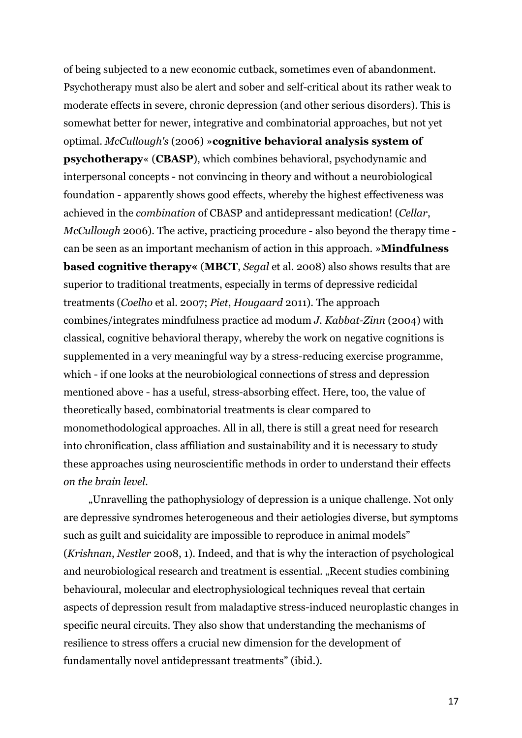of being subjected to a new economic cutback, sometimes even of abandonment. Psychotherapy must also be alert and sober and self-critical about its rather weak to moderate effects in severe, chronic depression (and other serious disorders). This is somewhat better for newer, integrative and combinatorial approaches, but not yet optimal. *McCullough's* (2006) »**cognitive behavioral analysis system of psychotherapy**« (**CBASP**), which combines behavioral, psychodynamic and interpersonal concepts - not convincing in theory and without a neurobiological foundation - apparently shows good effects, whereby the highest effectiveness was achieved in the *combination* of CBASP and antidepressant medication! (*Cellar*, *McCullough* 2006). The active, practicing procedure - also beyond the therapy time can be seen as an important mechanism of action in this approach. »**Mindfulness based cognitive therapy«** (**MBCT**, *Segal* et al. 2008) also shows results that are superior to traditional treatments, especially in terms of depressive redicidal treatments (*Coelho* et al. 2007; *Piet*, *Hougaard* 2011). The approach combines/integrates mindfulness practice ad modum *J. Kabbat-Zinn* (2004) with classical, cognitive behavioral therapy, whereby the work on negative cognitions is supplemented in a very meaningful way by a stress-reducing exercise programme, which - if one looks at the neurobiological connections of stress and depression mentioned above - has a useful, stress-absorbing effect. Here, too, the value of theoretically based, combinatorial treatments is clear compared to monomethodological approaches. All in all, there is still a great need for research into chronification, class affiliation and sustainability and it is necessary to study these approaches using neuroscientific methods in order to understand their effects *on the brain level*.

"Unravelling the pathophysiology of depression is a unique challenge. Not only are depressive syndromes heterogeneous and their aetiologies diverse, but symptoms such as guilt and suicidality are impossible to reproduce in animal models" (*Krishnan*, *Nestler* 2008, 1). Indeed, and that is why the interaction of psychological and neurobiological research and treatment is essential. "Recent studies combining behavioural, molecular and electrophysiological techniques reveal that certain aspects of depression result from maladaptive stress-induced neuroplastic changes in specific neural circuits. They also show that understanding the mechanisms of resilience to stress offers a crucial new dimension for the development of fundamentally novel antidepressant treatments" (ibid.).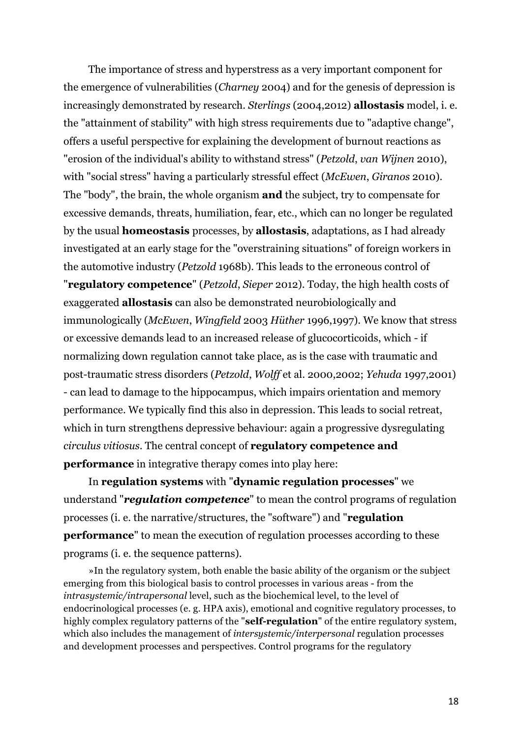The importance of stress and hyperstress as a very important component for the emergence of vulnerabilities (*Charney* 2004) and for the genesis of depression is increasingly demonstrated by research. *Sterlings* (2004,2012) **allostasis** model, i. e. the "attainment of stability" with high stress requirements due to "adaptive change", offers a useful perspective for explaining the development of burnout reactions as "erosion of the individual's ability to withstand stress" (*Petzold*, *van Wijnen* 2010), with "social stress" having a particularly stressful effect (*McEwen*, *Giranos* 2010). The "body", the brain, the whole organism **and** the subject, try to compensate for excessive demands, threats, humiliation, fear, etc., which can no longer be regulated by the usual **homeostasis** processes, by **allostasis**, adaptations, as I had already investigated at an early stage for the "overstraining situations" of foreign workers in the automotive industry (*Petzold* 1968b). This leads to the erroneous control of "**regulatory competence**" (*Petzold*, *Sieper* 2012). Today, the high health costs of exaggerated **allostasis** can also be demonstrated neurobiologically and immunologically (*McEwen*, *Wingfield* 2003 *Hüther* 1996,1997). We know that stress or excessive demands lead to an increased release of glucocorticoids, which - if normalizing down regulation cannot take place, as is the case with traumatic and post-traumatic stress disorders (*Petzold*, *Wolff* et al. 2000,2002; *Yehuda* 1997,2001) - can lead to damage to the hippocampus, which impairs orientation and memory performance. We typically find this also in depression. This leads to social retreat, which in turn strengthens depressive behaviour: again a progressive dysregulating *circulus vitiosus*. The central concept of **regulatory competence and performance** in integrative therapy comes into play here:

In **regulation systems** with "**dynamic regulation processes**" we understand "*regulation competence*" to mean the control programs of regulation processes (i. e. the narrative/structures, the "software") and "**regulation performance**" to mean the execution of regulation processes according to these programs (i. e. the sequence patterns).

»In the regulatory system, both enable the basic ability of the organism or the subject emerging from this biological basis to control processes in various areas - from the *intrasystemic/intrapersonal* level, such as the biochemical level, to the level of endocrinological processes (e. g. HPA axis), emotional and cognitive regulatory processes, to highly complex regulatory patterns of the "**self-regulation**" of the entire regulatory system, which also includes the management of *intersystemic/interpersonal* regulation processes and development processes and perspectives. Control programs for the regulatory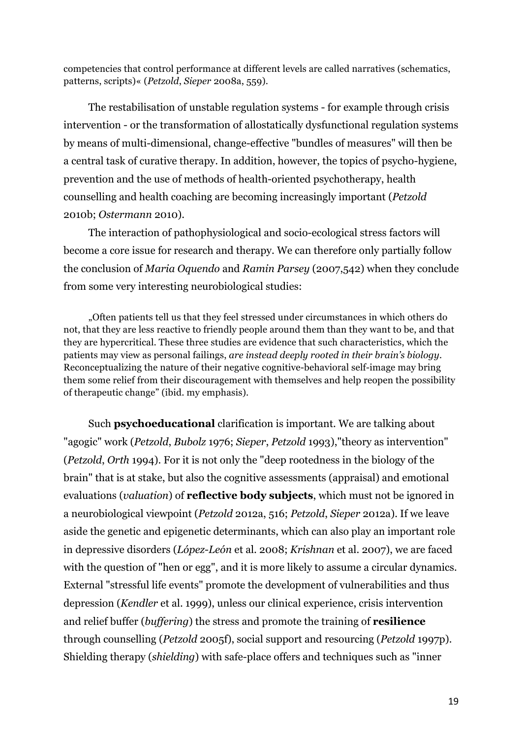competencies that control performance at different levels are called narratives (schematics, patterns, scripts)« (*Petzold*, *Sieper* 2008a, 559).

The restabilisation of unstable regulation systems - for example through crisis intervention - or the transformation of allostatically dysfunctional regulation systems by means of multi-dimensional, change-effective "bundles of measures" will then be a central task of curative therapy. In addition, however, the topics of psycho-hygiene, prevention and the use of methods of health-oriented psychotherapy, health counselling and health coaching are becoming increasingly important (*Petzold* 2010b; *Ostermann* 2010).

The interaction of pathophysiological and socio-ecological stress factors will become a core issue for research and therapy. We can therefore only partially follow the conclusion of *Maria Oquendo* and *Ramin Parsey* (2007,542) when they conclude from some very interesting neurobiological studies:

"Often patients tell us that they feel stressed under circumstances in which others do not, that they are less reactive to friendly people around them than they want to be, and that they are hypercritical. These three studies are evidence that such characteristics, which the patients may view as personal failings, *are instead deeply rooted in their brain's biology*. Reconceptualizing the nature of their negative cognitive-behavioral self-image may bring them some relief from their discouragement with themselves and help reopen the possibility of therapeutic change" (ibid. my emphasis).

Such **psychoeducational** clarification is important. We are talking about "agogic" work (*Petzold*, *Bubolz* 1976; *Sieper*, *Petzold* 1993),"theory as intervention" (*Petzold*, *Orth* 1994). For it is not only the "deep rootedness in the biology of the brain" that is at stake, but also the cognitive assessments (appraisal) and emotional evaluations (*valuation*) of **reflective body subjects**, which must not be ignored in a neurobiological viewpoint (*Petzold* 2012a, 516; *Petzold*, *Sieper* 2012a). If we leave aside the genetic and epigenetic determinants, which can also play an important role in depressive disorders (*López*-*León* et al. 2008; *Krishnan* et al. 2007), we are faced with the question of "hen or egg", and it is more likely to assume a circular dynamics. External "stressful life events" promote the development of vulnerabilities and thus depression (*Kendler* et al. 1999), unless our clinical experience, crisis intervention and relief buffer (*buffering*) the stress and promote the training of **resilience** through counselling (*Petzold* 2005f), social support and resourcing (*Petzold* 1997p). Shielding therapy (*shielding*) with safe-place offers and techniques such as "inner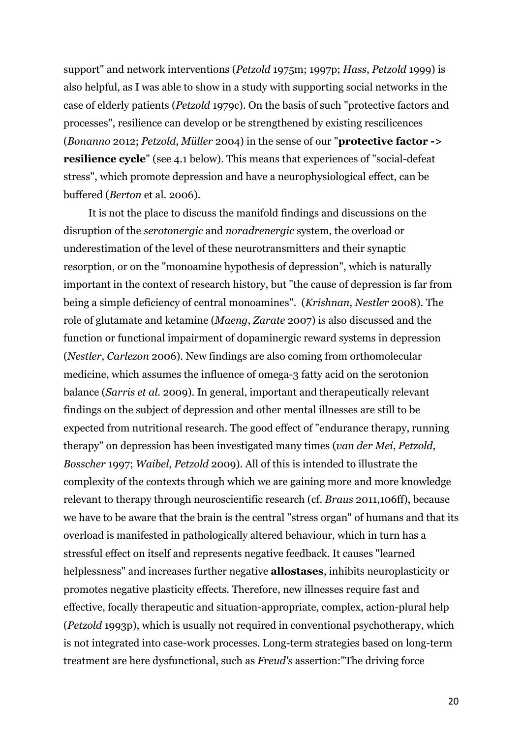support" and network interventions (*Petzold* 1975m; 1997p; *Hass*, *Petzold* 1999) is also helpful, as I was able to show in a study with supporting social networks in the case of elderly patients (*Petzold* 1979c). On the basis of such "protective factors and processes", resilience can develop or be strengthened by existing rescilicences (*Bonanno* 2012; *Petzold*, *Müller* 2004) in the sense of our "**protective factor -> resilience cycle**" (see 4.1 below). This means that experiences of "social-defeat stress", which promote depression and have a neurophysiological effect, can be buffered (*Berton* et al. 2006).

It is not the place to discuss the manifold findings and discussions on the disruption of the *serotonergic* and *noradrenergic* system, the overload or underestimation of the level of these neurotransmitters and their synaptic resorption, or on the "monoamine hypothesis of depression", which is naturally important in the context of research history, but "the cause of depression is far from being a simple deficiency of central monoamines". (*Krishnan*, *Nestler* 2008). The role of glutamate and ketamine (*Maeng*, *Zarate* 2007) is also discussed and the function or functional impairment of dopaminergic reward systems in depression (*Nestler*, *Carlezon* 2006). New findings are also coming from orthomolecular medicine, which assumes the influence of omega-3 fatty acid on the serotonion balance (*Sarris et al.* 2009). In general, important and therapeutically relevant findings on the subject of depression and other mental illnesses are still to be expected from nutritional research. The good effect of "endurance therapy, running therapy" on depression has been investigated many times (*van der Mei*, *Petzold*, *Bosscher* 1997; *Waibel*, *Petzold* 2009). All of this is intended to illustrate the complexity of the contexts through which we are gaining more and more knowledge relevant to therapy through neuroscientific research (cf. *Braus* 2011,106ff), because we have to be aware that the brain is the central "stress organ" of humans and that its overload is manifested in pathologically altered behaviour, which in turn has a stressful effect on itself and represents negative feedback. It causes "learned helplessness" and increases further negative **allostases**, inhibits neuroplasticity or promotes negative plasticity effects. Therefore, new illnesses require fast and effective, focally therapeutic and situation-appropriate, complex, action-plural help (*Petzold* 1993p), which is usually not required in conventional psychotherapy, which is not integrated into case-work processes. Long-term strategies based on long-term treatment are here dysfunctional, such as *Freud's* assertion:"The driving force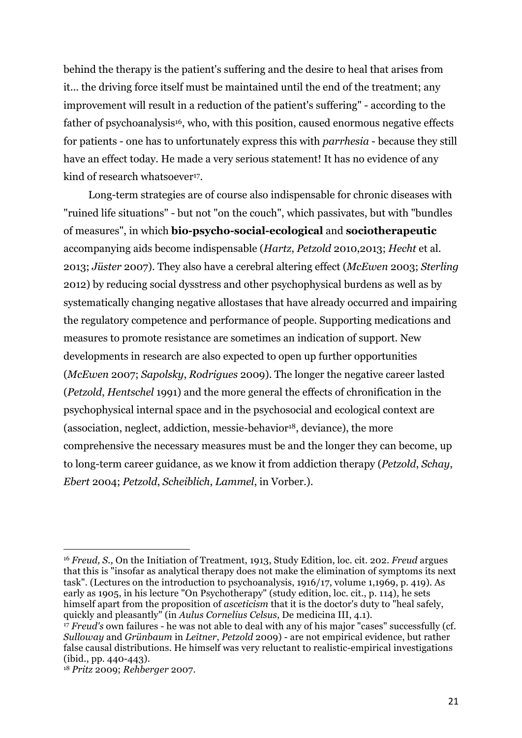behind the therapy is the patient's suffering and the desire to heal that arises from it... the driving force itself must be maintained until the end of the treatment; any improvement will result in a reduction of the patient's suffering" - according to the father of psychoanalysis<sup>16</sup>, who, with this position, caused enormous negative effects for patients - one has to unfortunately express this with *parrhesia* - because they still have an effect today. He made a very serious statement! It has no evidence of any kind of research whatsoever<sup>17</sup>.

Long-term strategies are of course also indispensable for chronic diseases with "ruined life situations" - but not "on the couch", which passivates, but with "bundles of measures", in which **bio-psycho-social-ecological** and **sociotherapeutic** accompanying aids become indispensable (*Hartz*, *Petzold* 2010,2013; *Hecht* et al. 2013; *Jüster* 2007). They also have a cerebral altering effect (*McEwen* 2003; *Sterling* 2012) by reducing social dysstress and other psychophysical burdens as well as by systematically changing negative allostases that have already occurred and impairing the regulatory competence and performance of people. Supporting medications and measures to promote resistance are sometimes an indication of support. New developments in research are also expected to open up further opportunities (*McEwen* 2007; *Sapolsky*, *Rodrigues* 2009). The longer the negative career lasted (*Petzold*, *Hentschel* 1991) and the more general the effects of chronification in the psychophysical internal space and in the psychosocial and ecological context are (association, neglect, addiction, messie-behavior<sup>18</sup>, deviance), the more comprehensive the necessary measures must be and the longer they can become, up to long-term career guidance, as we know it from addiction therapy (*Petzold*, *Schay*, *Ebert* 2004; *Petzold*, *Scheiblich*, *Lammel*, in Vorber.).

<sup>16</sup> *Freud, S.,* On the Initiation of Treatment, 1913, Study Edition, loc. cit. 202. *Freud* argues that this is "insofar as analytical therapy does not make the elimination of symptoms its next task". (Lectures on the introduction to psychoanalysis, 1916/17, volume 1,1969, p. 419). As early as 1905, in his lecture "On Psychotherapy" (study edition, loc. cit., p. 114), he sets himself apart from the proposition of *asceticism* that it is the doctor's duty to "heal safely, quickly and pleasantly" (in *Aulus Cornelius Celsus*, De medicina III, 4.1).

<sup>&</sup>lt;sup>17</sup> *Freud's* own failures - he was not able to deal with any of his major "cases" successfully (cf. *Sulloway* and *Grünbaum* in *Leitner*, *Petzold* 2009) - are not empirical evidence, but rather false causal distributions. He himself was very reluctant to realistic-empirical investigations (ibid., pp. 440-443).

<sup>18</sup> *Pritz* 2009; *Rehberger* 2007.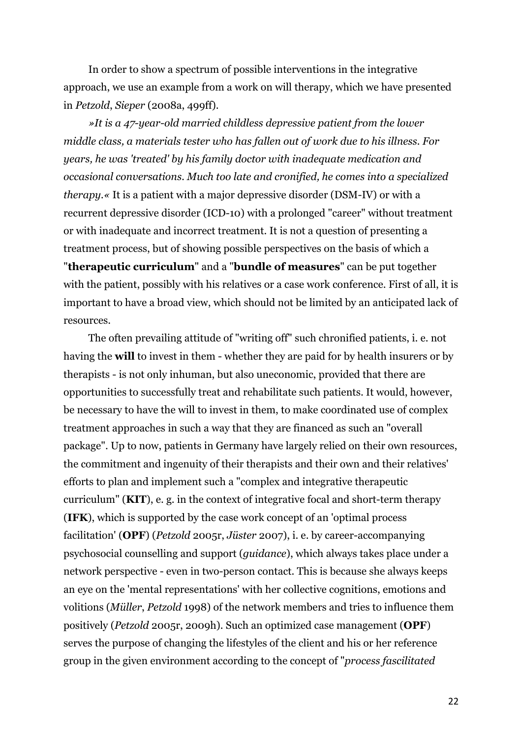In order to show a spectrum of possible interventions in the integrative approach, we use an example from a work on will therapy, which we have presented in *Petzold*, *Sieper* (2008a, 499ff).

*»It is a 47-year-old married childless depressive patient from the lower middle class, a materials tester who has fallen out of work due to his illness. For years, he was 'treated' by his family doctor with inadequate medication and occasional conversations. Much too late and cronified, he comes into a specialized therapy.«* It is a patient with a major depressive disorder (DSM-IV) or with a recurrent depressive disorder (ICD-10) with a prolonged "career" without treatment or with inadequate and incorrect treatment. It is not a question of presenting a treatment process, but of showing possible perspectives on the basis of which a "**therapeutic curriculum**" and a "**bundle of measures**" can be put together with the patient, possibly with his relatives or a case work conference. First of all, it is important to have a broad view, which should not be limited by an anticipated lack of resources.

The often prevailing attitude of "writing off" such chronified patients, i. e. not having the **will** to invest in them - whether they are paid for by health insurers or by therapists - is not only inhuman, but also uneconomic, provided that there are opportunities to successfully treat and rehabilitate such patients. It would, however, be necessary to have the will to invest in them, to make coordinated use of complex treatment approaches in such a way that they are financed as such an "overall package". Up to now, patients in Germany have largely relied on their own resources, the commitment and ingenuity of their therapists and their own and their relatives' efforts to plan and implement such a "complex and integrative therapeutic curriculum" (**KIT**), e. g. in the context of integrative focal and short-term therapy (**IFK**), which is supported by the case work concept of an 'optimal process facilitation' (**OPF**) (*Petzold* 2005r, *Jüster* 2007), i. e. by career-accompanying psychosocial counselling and support (*guidance*), which always takes place under a network perspective - even in two-person contact. This is because she always keeps an eye on the 'mental representations' with her collective cognitions, emotions and volitions (*Müller*, *Petzold* 1998) of the network members and tries to influence them positively (*Petzold* 2005r, 2009h). Such an optimized case management (**OPF**) serves the purpose of changing the lifestyles of the client and his or her reference group in the given environment according to the concept of "*process fascilitated*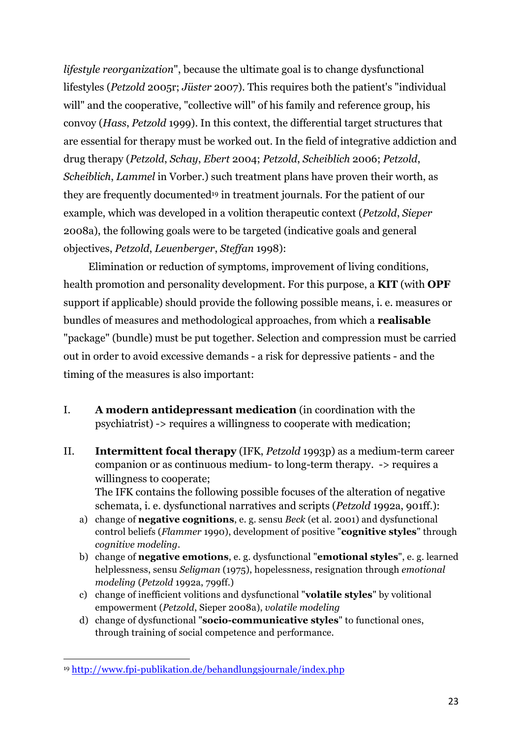*lifestyle reorganization*", because the ultimate goal is to change dysfunctional lifestyles (*Petzold* 2005r; *Jüster* 2007). This requires both the patient's "individual will" and the cooperative, "collective will" of his family and reference group, his convoy (*Hass*, *Petzold* 1999). In this context, the differential target structures that are essential for therapy must be worked out. In the field of integrative addiction and drug therapy (*Petzold*, *Schay*, *Ebert* 2004; *Petzold*, *Scheiblich* 2006; *Petzold*, *Scheiblich*, *Lammel* in Vorber.) such treatment plans have proven their worth, as they are frequently documented19 in treatment journals. For the patient of our example, which was developed in a volition therapeutic context (*Petzold*, *Sieper* 2008a), the following goals were to be targeted (indicative goals and general objectives, *Petzold*, *Leuenberger*, *Steffan* 1998):

Elimination or reduction of symptoms, improvement of living conditions, health promotion and personality development. For this purpose, a **KIT** (with **OPF** support if applicable) should provide the following possible means, i. e. measures or bundles of measures and methodological approaches, from which a **realisable** "package" (bundle) must be put together. Selection and compression must be carried out in order to avoid excessive demands - a risk for depressive patients - and the timing of the measures is also important:

- I. **A modern antidepressant medication** (in coordination with the psychiatrist) -> requires a willingness to cooperate with medication;
- II. **Intermittent focal therapy** (IFK, *Petzold* 1993p) as a medium-term career companion or as continuous medium- to long-term therapy. -> requires a willingness to cooperate; The IFK contains the following possible focuses of the alteration of negative schemata, i. e. dysfunctional narratives and scripts (*Petzold* 1992a, 901ff.):
	- a) change of **negative cognitions**, e. g. sensu *Beck* (et al. 2001) and dysfunctional control beliefs (*Flammer* 1990), development of positive "**cognitive styles**" through *cognitive modeling*.
	- b) change of **negative emotions**, e. g. dysfunctional "**emotional styles**", e. g. learned helplessness, sensu *Seligman* (1975), hopelessness, resignation through *emotional modeling* (*Petzold* 1992a, 799ff.)
	- c) change of inefficient volitions and dysfunctional "**volatile styles**" by volitional empowerment (*Petzold*, Sieper 2008a), *volatile modeling*
	- d) change of dysfunctional "**socio-communicative styles**" to functional ones, through training of social competence and performance.

 <sup>19</sup> http://www.fpi-publikation.de/behandlungsjournale/index.php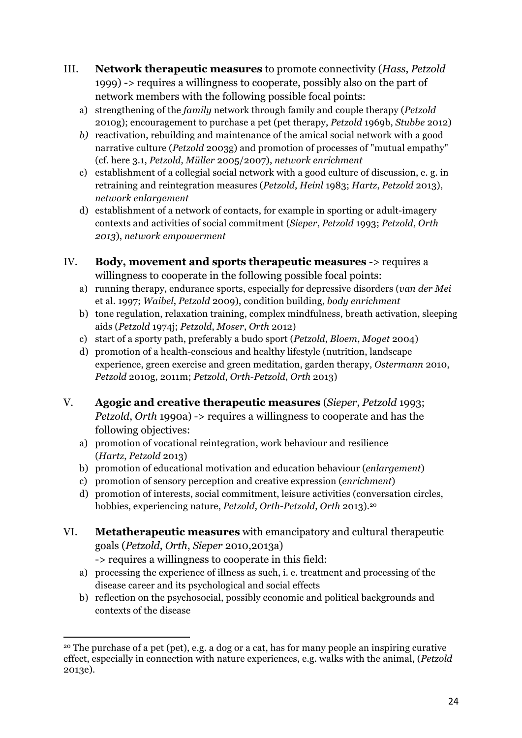- III. **Network therapeutic measures** to promote connectivity (*Hass*, *Petzold* 1999) -> requires a willingness to cooperate, possibly also on the part of network members with the following possible focal points:
	- a) strengthening of the *family* network through family and couple therapy (*Petzold* 2010g); encouragement to purchase a pet (pet therapy, *Petzold* 1969b, *Stubbe* 2012)
	- *b)* reactivation, rebuilding and maintenance of the amical social network with a good narrative culture (*Petzold* 2003g) and promotion of processes of "mutual empathy" (cf. here 3.1, *Petzold*, *Müller* 2005/2007), *network enrichment*
	- c) establishment of a collegial social network with a good culture of discussion, e. g. in retraining and reintegration measures (*Petzold*, *Heinl* 1983; *Hartz*, *Petzold* 2013), *network enlargement*
	- d) establishment of a network of contacts, for example in sporting or adult-imagery contexts and activities of social commitment (*Sieper*, *Petzold* 1993; *Petzold*, *Orth 2013*), *network empowerment*
- IV. **Body, movement and sports therapeutic measures** -> requires a willingness to cooperate in the following possible focal points:
	- a) running therapy, endurance sports, especially for depressive disorders (*van der Mei* et al. 1997; *Waibel*, *Petzold* 2009), condition building, *body enrichment*
	- b) tone regulation, relaxation training, complex mindfulness, breath activation, sleeping aids (*Petzold* 1974j; *Petzold*, *Moser*, *Orth* 2012)
	- c) start of a sporty path, preferably a budo sport (*Petzold*, *Bloem*, *Moget* 2004)
	- d) promotion of a health-conscious and healthy lifestyle (nutrition, landscape experience, green exercise and green meditation, garden therapy, *Ostermann* 2010, *Petzold* 2010g, 2011m; *Petzold*, *Orth*-*Petzold*, *Orth* 2013)
- V. **Agogic and creative therapeutic measures** (*Sieper*, *Petzold* 1993; *Petzold*, *Orth* 1990a) -> requires a willingness to cooperate and has the following objectives:
	- a) promotion of vocational reintegration, work behaviour and resilience (*Hartz*, *Petzold* 2013)
	- b) promotion of educational motivation and education behaviour (*enlargement*)
	- c) promotion of sensory perception and creative expression (*enrichment*)
	- d) promotion of interests, social commitment, leisure activities (conversation circles, hobbies, experiencing nature, *Petzold*, *Orth*-*Petzold*, *Orth* 2013).20
- VI. **Metatherapeutic measures** with emancipatory and cultural therapeutic goals (*Petzold*, *Orth*, *Sieper* 2010,2013a) -> requires a willingness to cooperate in this field:
	- a) processing the experience of illness as such, i. e. treatment and processing of the disease career and its psychological and social effects
	- b) reflection on the psychosocial, possibly economic and political backgrounds and contexts of the disease

 <sup>20</sup> The purchase of a pet (pet), e.g. a dog or a cat, has for many people an inspiring curative effect, especially in connection with nature experiences, e.g. walks with the animal, (*Petzold* 2013e).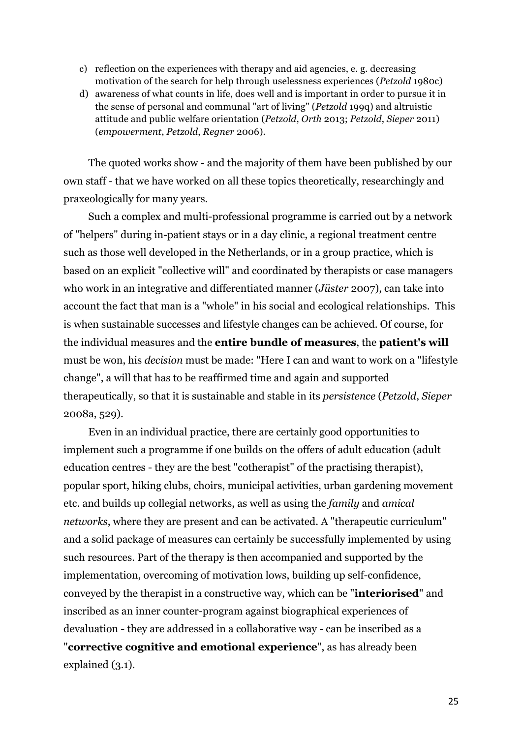- c) reflection on the experiences with therapy and aid agencies, e. g. decreasing motivation of the search for help through uselessness experiences (*Petzold* 1980c)
- d) awareness of what counts in life, does well and is important in order to pursue it in the sense of personal and communal "art of living" (*Petzold* 199q) and altruistic attitude and public welfare orientation (*Petzold*, *Orth* 2013; *Petzold*, *Sieper* 2011) (*empowerment*, *Petzold*, *Regner* 2006).

The quoted works show - and the majority of them have been published by our own staff - that we have worked on all these topics theoretically, researchingly and praxeologically for many years.

Such a complex and multi-professional programme is carried out by a network of "helpers" during in-patient stays or in a day clinic, a regional treatment centre such as those well developed in the Netherlands, or in a group practice, which is based on an explicit "collective will" and coordinated by therapists or case managers who work in an integrative and differentiated manner (*Jüster* 2007), can take into account the fact that man is a "whole" in his social and ecological relationships. This is when sustainable successes and lifestyle changes can be achieved. Of course, for the individual measures and the **entire bundle of measures**, the **patient's will** must be won, his *decision* must be made: "Here I can and want to work on a "lifestyle change", a will that has to be reaffirmed time and again and supported therapeutically, so that it is sustainable and stable in its *persistence* (*Petzold*, *Sieper* 2008a, 529).

Even in an individual practice, there are certainly good opportunities to implement such a programme if one builds on the offers of adult education (adult education centres - they are the best "cotherapist" of the practising therapist), popular sport, hiking clubs, choirs, municipal activities, urban gardening movement etc. and builds up collegial networks, as well as using the *family* and *amical networks*, where they are present and can be activated. A "therapeutic curriculum" and a solid package of measures can certainly be successfully implemented by using such resources. Part of the therapy is then accompanied and supported by the implementation, overcoming of motivation lows, building up self-confidence, conveyed by the therapist in a constructive way, which can be "**interiorised**" and inscribed as an inner counter-program against biographical experiences of devaluation - they are addressed in a collaborative way - can be inscribed as a "**corrective cognitive and emotional experience**", as has already been explained (3.1).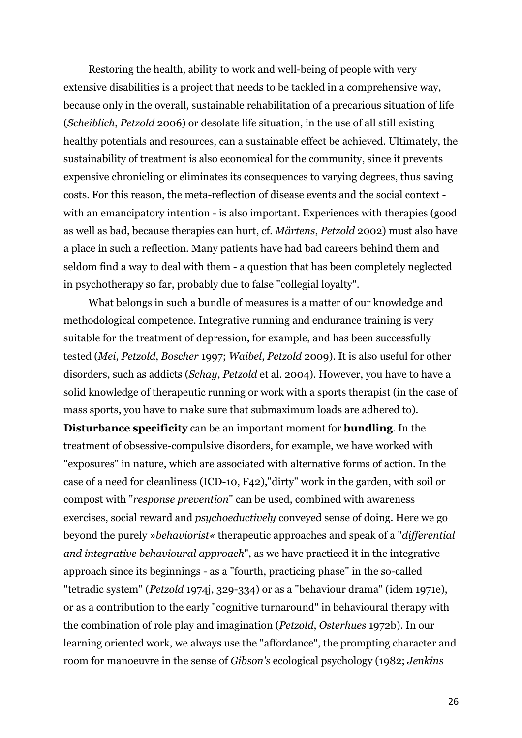Restoring the health, ability to work and well-being of people with very extensive disabilities is a project that needs to be tackled in a comprehensive way, because only in the overall, sustainable rehabilitation of a precarious situation of life (*Scheiblich*, *Petzold* 2006) or desolate life situation, in the use of all still existing healthy potentials and resources, can a sustainable effect be achieved. Ultimately, the sustainability of treatment is also economical for the community, since it prevents expensive chronicling or eliminates its consequences to varying degrees, thus saving costs. For this reason, the meta-reflection of disease events and the social context with an emancipatory intention - is also important. Experiences with therapies (good as well as bad, because therapies can hurt, cf. *Märtens*, *Petzold* 2002) must also have a place in such a reflection. Many patients have had bad careers behind them and seldom find a way to deal with them - a question that has been completely neglected in psychotherapy so far, probably due to false "collegial loyalty".

What belongs in such a bundle of measures is a matter of our knowledge and methodological competence. Integrative running and endurance training is very suitable for the treatment of depression, for example, and has been successfully tested (*Mei*, *Petzold*, *Boscher* 1997; *Waibel*, *Petzold* 2009). It is also useful for other disorders, such as addicts (*Schay*, *Petzold* et al. 2004). However, you have to have a solid knowledge of therapeutic running or work with a sports therapist (in the case of mass sports, you have to make sure that submaximum loads are adhered to). **Disturbance specificity** can be an important moment for **bundling**. In the treatment of obsessive-compulsive disorders, for example, we have worked with "exposures" in nature, which are associated with alternative forms of action. In the case of a need for cleanliness (ICD-10, F42),"dirty" work in the garden, with soil or compost with "*response prevention*" can be used, combined with awareness exercises, social reward and *psychoeductively* conveyed sense of doing. Here we go beyond the purely »*behaviorist«* therapeutic approaches and speak of a "*differential and integrative behavioural approach*", as we have practiced it in the integrative approach since its beginnings - as a "fourth, practicing phase" in the so-called "tetradic system" (*Petzold* 1974j, 329-334) or as a "behaviour drama" (idem 1971e), or as a contribution to the early "cognitive turnaround" in behavioural therapy with the combination of role play and imagination (*Petzold*, *Osterhues* 1972b). In our learning oriented work, we always use the "affordance", the prompting character and room for manoeuvre in the sense of *Gibson's* ecological psychology (1982; *Jenkins*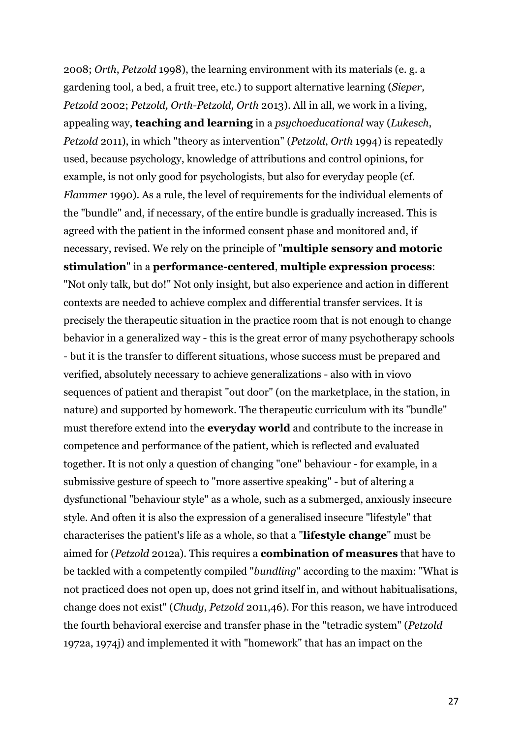2008; *Orth*, *Petzold* 1998), the learning environment with its materials (e. g. a gardening tool, a bed, a fruit tree, etc.) to support alternative learning (*Sieper, Petzold* 2002; *Petzold, Orth-Petzold, Orth* 2013). All in all, we work in a living, appealing way, **teaching and learning** in a *psychoeducational* way (*Lukesch*, *Petzold* 2011), in which "theory as intervention" (*Petzold*, *Orth* 1994) is repeatedly used, because psychology, knowledge of attributions and control opinions, for example, is not only good for psychologists, but also for everyday people (cf. *Flammer* 1990). As a rule, the level of requirements for the individual elements of the "bundle" and, if necessary, of the entire bundle is gradually increased. This is agreed with the patient in the informed consent phase and monitored and, if necessary, revised. We rely on the principle of "**multiple sensory and motoric stimulation**" in a **performance-centered**, **multiple expression process**: "Not only talk, but do!" Not only insight, but also experience and action in different contexts are needed to achieve complex and differential transfer services. It is precisely the therapeutic situation in the practice room that is not enough to change behavior in a generalized way - this is the great error of many psychotherapy schools - but it is the transfer to different situations, whose success must be prepared and verified, absolutely necessary to achieve generalizations - also with in viovo sequences of patient and therapist "out door" (on the marketplace, in the station, in nature) and supported by homework. The therapeutic curriculum with its "bundle" must therefore extend into the **everyday world** and contribute to the increase in competence and performance of the patient, which is reflected and evaluated together. It is not only a question of changing "one" behaviour - for example, in a submissive gesture of speech to "more assertive speaking" - but of altering a dysfunctional "behaviour style" as a whole, such as a submerged, anxiously insecure style. And often it is also the expression of a generalised insecure "lifestyle" that characterises the patient's life as a whole, so that a "**lifestyle change**" must be aimed for (*Petzold* 2012a). This requires a **combination of measures** that have to be tackled with a competently compiled "*bundling*" according to the maxim: "What is not practiced does not open up, does not grind itself in, and without habitualisations, change does not exist" (*Chudy*, *Petzold* 2011,46). For this reason, we have introduced the fourth behavioral exercise and transfer phase in the "tetradic system" (*Petzold*  1972a, 1974j) and implemented it with "homework" that has an impact on the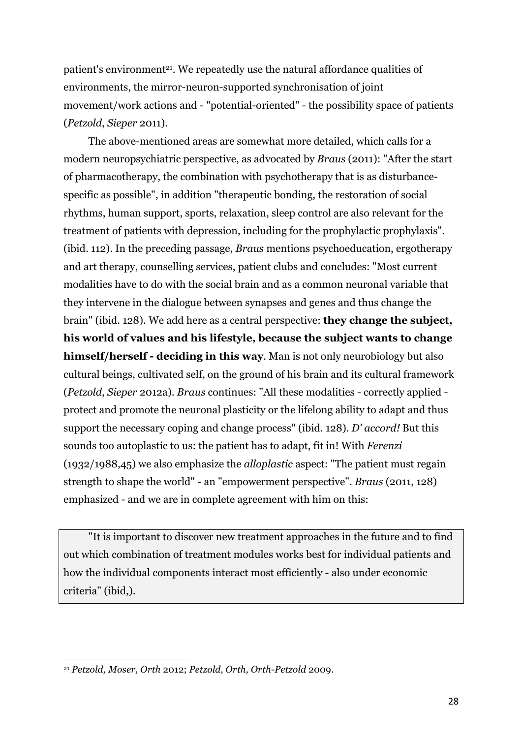patient's environment<sup>21</sup>. We repeatedly use the natural affordance qualities of environments, the mirror-neuron-supported synchronisation of joint movement/work actions and - "potential-oriented" - the possibility space of patients (*Petzold*, *Sieper* 2011).

The above-mentioned areas are somewhat more detailed, which calls for a modern neuropsychiatric perspective, as advocated by *Braus* (2011): "After the start of pharmacotherapy, the combination with psychotherapy that is as disturbancespecific as possible", in addition "therapeutic bonding, the restoration of social rhythms, human support, sports, relaxation, sleep control are also relevant for the treatment of patients with depression, including for the prophylactic prophylaxis". (ibid. 112). In the preceding passage, *Braus* mentions psychoeducation, ergotherapy and art therapy, counselling services, patient clubs and concludes: "Most current modalities have to do with the social brain and as a common neuronal variable that they intervene in the dialogue between synapses and genes and thus change the brain" (ibid. 128). We add here as a central perspective: **they change the subject, his world of values and his lifestyle, because the subject wants to change himself/herself - deciding in this way**. Man is not only neurobiology but also cultural beings, cultivated self, on the ground of his brain and its cultural framework (*Petzold*, *Sieper* 2012a). *Braus* continues: "All these modalities - correctly applied protect and promote the neuronal plasticity or the lifelong ability to adapt and thus support the necessary coping and change process" (ibid. 128). *D' accord!* But this sounds too autoplastic to us: the patient has to adapt, fit in! With *Ferenzi* (1932/1988,45) we also emphasize the *alloplastic* aspect: "The patient must regain strength to shape the world" - an "empowerment perspective". *Braus* (2011, 128) emphasized - and we are in complete agreement with him on this:

"It is important to discover new treatment approaches in the future and to find out which combination of treatment modules works best for individual patients and how the individual components interact most efficiently - also under economic criteria" (ibid,).

 <sup>21</sup> *Petzold, Moser, Orth* 2012; *Petzold, Orth, Orth-Petzold* 2009.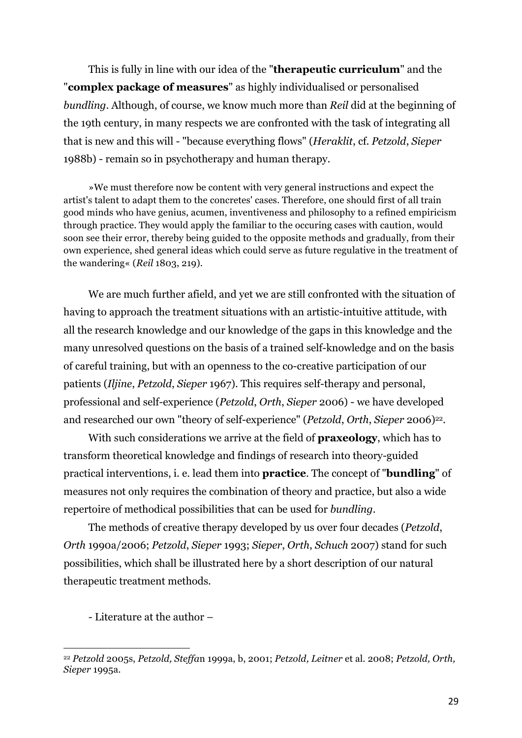This is fully in line with our idea of the "**therapeutic curriculum**" and the "**complex package of measures**" as highly individualised or personalised *bundling*. Although, of course, we know much more than *Reil* did at the beginning of the 19th century, in many respects we are confronted with the task of integrating all that is new and this will - "because everything flows" (*Heraklit*, cf. *Petzold*, *Sieper* 1988b) - remain so in psychotherapy and human therapy.

»We must therefore now be content with very general instructions and expect the artist's talent to adapt them to the concretes' cases. Therefore, one should first of all train good minds who have genius, acumen, inventiveness and philosophy to a refined empiricism through practice. They would apply the familiar to the occuring cases with caution, would soon see their error, thereby being guided to the opposite methods and gradually, from their own experience, shed general ideas which could serve as future regulative in the treatment of the wandering« (*Reil* 1803, 219).

We are much further afield, and yet we are still confronted with the situation of having to approach the treatment situations with an artistic-intuitive attitude, with all the research knowledge and our knowledge of the gaps in this knowledge and the many unresolved questions on the basis of a trained self-knowledge and on the basis of careful training, but with an openness to the co-creative participation of our patients (*Iljine*, *Petzold*, *Sieper* 1967). This requires self-therapy and personal, professional and self-experience (*Petzold*, *Orth*, *Sieper* 2006) - we have developed and researched our own "theory of self-experience" (*Petzold*, *Orth*, *Sieper* 2006)<sup>22</sup>.

With such considerations we arrive at the field of **praxeology**, which has to transform theoretical knowledge and findings of research into theory-guided practical interventions, i. e. lead them into **practice**. The concept of "**bundling**" of measures not only requires the combination of theory and practice, but also a wide repertoire of methodical possibilities that can be used for *bundling*.

The methods of creative therapy developed by us over four decades (*Petzold*, *Orth* 1990a/2006; *Petzold*, *Sieper* 1993; *Sieper*, *Orth*, *Schuch* 2007) stand for such possibilities, which shall be illustrated here by a short description of our natural therapeutic treatment methods.

- Literature at the author –

<sup>22</sup> *Petzold* 2005s, *Petzold, Steffa*n 1999a, b, 2001; *Petzold, Leitner* et al. 2008; *Petzold, Orth, Sieper* 1995a.